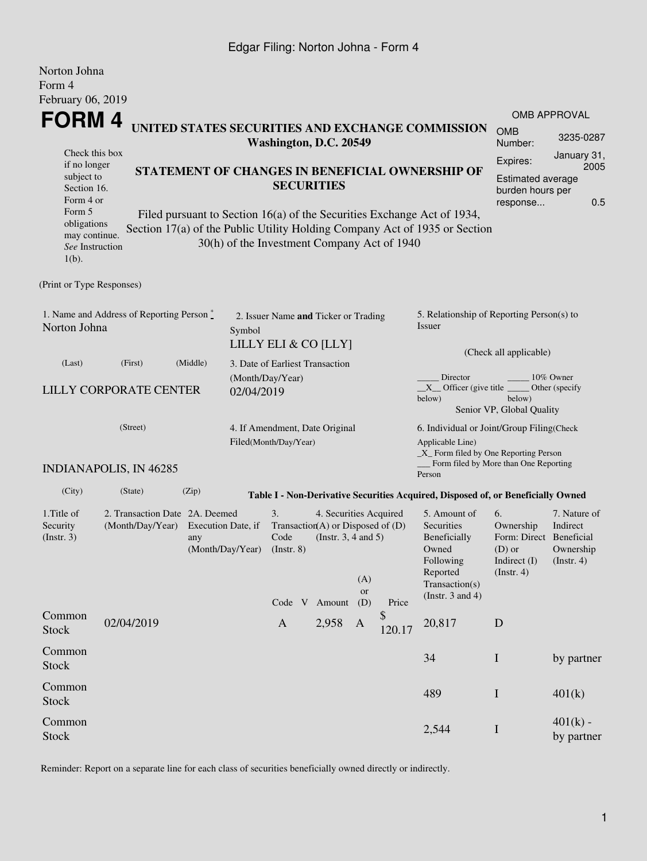## Edgar Filing: Norton Johna - Form 4

| Norton Johna<br>Form 4                                                                     |                                                    |                                 |                                                                        |                                                                                        |                                                    |                        |              |                                                                                                                                                       |                                                                                            |                                                           |  |  |
|--------------------------------------------------------------------------------------------|----------------------------------------------------|---------------------------------|------------------------------------------------------------------------|----------------------------------------------------------------------------------------|----------------------------------------------------|------------------------|--------------|-------------------------------------------------------------------------------------------------------------------------------------------------------|--------------------------------------------------------------------------------------------|-----------------------------------------------------------|--|--|
| February 06, 2019                                                                          |                                                    |                                 |                                                                        |                                                                                        |                                                    |                        |              |                                                                                                                                                       |                                                                                            |                                                           |  |  |
|                                                                                            |                                                    |                                 |                                                                        |                                                                                        |                                                    |                        |              |                                                                                                                                                       |                                                                                            | <b>OMB APPROVAL</b>                                       |  |  |
| <b>FORM4</b><br>UNITED STATES SECURITIES AND EXCHANGE COMMISSION<br>Washington, D.C. 20549 |                                                    |                                 |                                                                        |                                                                                        |                                                    |                        |              |                                                                                                                                                       | <b>OMB</b><br>Number:                                                                      | 3235-0287                                                 |  |  |
| Check this box<br>if no longer                                                             |                                                    |                                 |                                                                        |                                                                                        |                                                    |                        |              | Expires:                                                                                                                                              | January 31,<br>2005                                                                        |                                                           |  |  |
| STATEMENT OF CHANGES IN BENEFICIAL OWNERSHIP OF<br>subject to<br>Section 16.<br>Form 4 or  |                                                    |                                 |                                                                        | <b>SECURITIES</b>                                                                      |                                                    |                        |              |                                                                                                                                                       | Estimated average<br>burden hours per<br>0.5<br>response                                   |                                                           |  |  |
| Form 5<br>obligations<br>may continue.<br>See Instruction<br>$1(b)$ .                      |                                                    |                                 |                                                                        | 30(h) of the Investment Company Act of 1940                                            |                                                    |                        |              | Filed pursuant to Section 16(a) of the Securities Exchange Act of 1934,<br>Section 17(a) of the Public Utility Holding Company Act of 1935 or Section |                                                                                            |                                                           |  |  |
| (Print or Type Responses)                                                                  |                                                    |                                 |                                                                        |                                                                                        |                                                    |                        |              |                                                                                                                                                       |                                                                                            |                                                           |  |  |
| 1. Name and Address of Reporting Person $\degree$<br>Norton Johna                          |                                                    |                                 | 2. Issuer Name and Ticker or Trading<br>Symbol<br>LILLY ELI & CO [LLY] |                                                                                        |                                                    |                        |              | 5. Relationship of Reporting Person(s) to<br>Issuer                                                                                                   |                                                                                            |                                                           |  |  |
| (Last)                                                                                     |                                                    | 3. Date of Earliest Transaction |                                                                        |                                                                                        |                                                    | (Check all applicable) |              |                                                                                                                                                       |                                                                                            |                                                           |  |  |
| <b>LILLY CORPORATE CENTER</b>                                                              |                                                    |                                 | (Month/Day/Year)<br>02/04/2019                                         |                                                                                        |                                                    |                        |              | Director<br>10% Owner<br>$X$ Officer (give title $\overline{\phantom{a}}$<br>Other (specify<br>below)<br>below)<br>Senior VP, Global Quality          |                                                                                            |                                                           |  |  |
|                                                                                            | (Street)                                           |                                 | 4. If Amendment, Date Original                                         |                                                                                        |                                                    |                        |              | 6. Individual or Joint/Group Filing(Check                                                                                                             |                                                                                            |                                                           |  |  |
|                                                                                            | <b>INDIANAPOLIS, IN 46285</b>                      |                                 |                                                                        | Filed(Month/Day/Year)                                                                  |                                                    |                        |              | Applicable Line)<br>$\_X$ Form filed by One Reporting Person<br>Form filed by More than One Reporting<br>Person                                       |                                                                                            |                                                           |  |  |
| (City)                                                                                     | (State)                                            | (Zip)                           |                                                                        |                                                                                        |                                                    |                        |              | Table I - Non-Derivative Securities Acquired, Disposed of, or Beneficially Owned                                                                      |                                                                                            |                                                           |  |  |
| 1. Title of<br>Security<br>$($ Instr. 3 $)$                                                | 2. Transaction Date 2A. Deemed<br>(Month/Day/Year) | Execution Date, if<br>any       | (Month/Day/Year)                                                       | 3.<br>Transaction(A) or Disposed of $(D)$<br>Code<br>$($ Instr. 8 $)$<br>Code V Amount | 4. Securities Acquired<br>(Instr. $3, 4$ and $5$ ) | (A)<br>or<br>(D)       | Price        | 5. Amount of<br>Securities<br>Beneficially<br>Owned<br>Following<br>Reported<br>Transaction(s)<br>(Instr. $3$ and $4$ )                               | 6.<br>Ownership<br>Form: Direct Beneficial<br>$(D)$ or<br>Indirect (I)<br>$($ Instr. 4 $)$ | 7. Nature of<br>Indirect<br>Ownership<br>$($ Instr. 4 $)$ |  |  |
| Common<br><b>Stock</b>                                                                     | 02/04/2019                                         |                                 |                                                                        | $\mathbf{A}$                                                                           | 2,958                                              | A                      | \$<br>120.17 | 20,817                                                                                                                                                | $\mathbf D$                                                                                |                                                           |  |  |
| Common<br><b>Stock</b>                                                                     |                                                    |                                 |                                                                        |                                                                                        |                                                    |                        |              | 34                                                                                                                                                    | $\mathbf I$                                                                                | by partner                                                |  |  |
| Common<br><b>Stock</b>                                                                     |                                                    |                                 |                                                                        |                                                                                        |                                                    |                        |              | 489                                                                                                                                                   | $\bf{I}$                                                                                   | 401(k)                                                    |  |  |
| Common<br><b>Stock</b>                                                                     |                                                    |                                 |                                                                        |                                                                                        |                                                    |                        |              | 2,544                                                                                                                                                 | $\bf I$                                                                                    | $401(k)$ -<br>by partner                                  |  |  |

Reminder: Report on a separate line for each class of securities beneficially owned directly or indirectly.